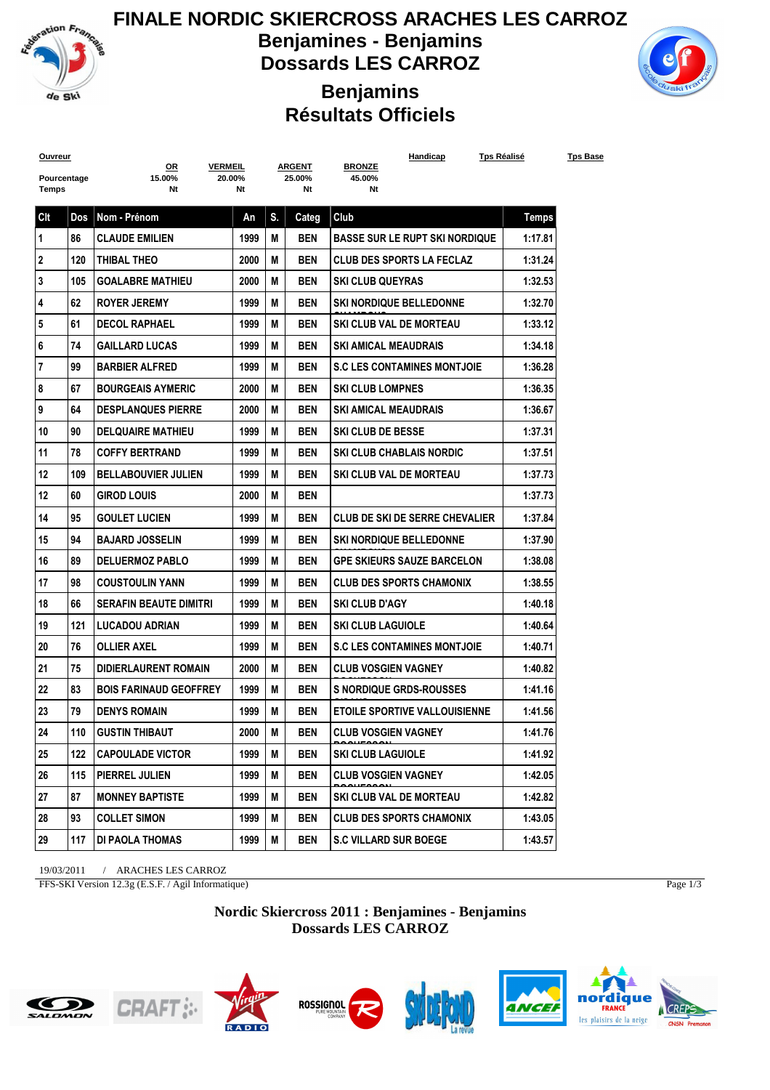

**FINALE NORDIC SKIERCROSS ARACHES LES CARROZ Benjamines - Benjamins Dossards LES CARROZ**

**Benjamins**



## **Résultats Officiels**

| <b>Ouvreur</b> |     | <u>OR</u><br><b>VERMEIL</b>   |        | <b>ARGENT</b> |              | Handicap<br><b>BRONZE</b>             | <u>Tps Réalisé</u> |  |
|----------------|-----|-------------------------------|--------|---------------|--------------|---------------------------------------|--------------------|--|
| Pourcentage    |     | 15.00%                        | 20.00% | 25.00%        |              | 45.00%                                |                    |  |
| Temps          |     | Nt                            | Nt     |               | Nt           | Nt                                    |                    |  |
| Clt            | Dos | Nom - Prénom                  | An     | S.            | <b>Categ</b> | Club                                  | <b>Temps</b>       |  |
| $\mathbf 1$    | 86  | <b>CLAUDE EMILIEN</b>         | 1999   | M             | <b>BEN</b>   | <b>BASSE SUR LE RUPT SKI NORDIQUE</b> | 1:17.81            |  |
| $\mathbf{2}$   | 120 | THIBAL THEO                   | 2000   | М             | <b>BEN</b>   | <b>CLUB DES SPORTS LA FECLAZ</b>      | 1:31.24            |  |
| 3              | 105 | <b>GOALABRE MATHIEU</b>       | 2000   | M             | <b>BEN</b>   | <b>SKI CLUB QUEYRAS</b>               | 1:32.53            |  |
| 4              | 62  | <b>ROYER JEREMY</b>           | 1999   | М             | <b>BEN</b>   | <b>SKI NORDIQUE BELLEDONNE</b>        | 1:32.70            |  |
| 5              | 61  | <b>DECOL RAPHAEL</b>          | 1999   | М             | <b>BEN</b>   | <b>SKI CLUB VAL DE MORTEAU</b>        | 1:33.12            |  |
| 6              | 74  | <b>GAILLARD LUCAS</b>         | 1999   | М             | <b>BEN</b>   | <b>SKI AMICAL MEAUDRAIS</b>           | 1:34.18            |  |
| $\overline{7}$ | 99  | <b>BARBIER ALFRED</b>         | 1999   | М             | <b>BEN</b>   | <b>S.C LES CONTAMINES MONTJOIE</b>    | 1:36.28            |  |
| 8              | 67  | <b>BOURGEAIS AYMERIC</b>      | 2000   | М             | <b>BEN</b>   | <b>SKI CLUB LOMPNES</b>               | 1:36.35            |  |
| 9              | 64  | <b>DESPLANQUES PIERRE</b>     | 2000   | М             | <b>BEN</b>   | <b>SKI AMICAL MEAUDRAIS</b>           | 1:36.67            |  |
| 10             | 90  | <b>DELQUAIRE MATHIEU</b>      | 1999   | М             | <b>BEN</b>   | <b>SKI CLUB DE BESSE</b>              | 1:37.31            |  |
| 11             | 78  | <b>COFFY BERTRAND</b>         | 1999   | М             | <b>BEN</b>   | <b>SKI CLUB CHABLAIS NORDIC</b>       | 1:37.51            |  |
| 12             | 109 | <b>BELLABOUVIER JULIEN</b>    | 1999   | М             | <b>BEN</b>   | SKI CLUB VAL DE MORTEAU               | 1:37.73            |  |
| 12             | 60  | <b>GIROD LOUIS</b>            | 2000   | М             | <b>BEN</b>   |                                       | 1:37.73            |  |
| 14             | 95  | <b>GOULET LUCIEN</b>          | 1999   | M             | <b>BEN</b>   | CLUB DE SKI DE SERRE CHEVALIER        | 1:37.84            |  |
| 15             | 94  | <b>BAJARD JOSSELIN</b>        | 1999   | М             | <b>BEN</b>   | <b>SKI NORDIQUE BELLEDONNE</b>        | 1:37.90            |  |
| 16             | 89  | <b>DELUERMOZ PABLO</b>        | 1999   | М             | <b>BEN</b>   | <b>GPE SKIEURS SAUZE BARCELON</b>     | 1:38.08            |  |
| 17             | 98  | <b>COUSTOULIN YANN</b>        | 1999   | М             | <b>BEN</b>   | <b>CLUB DES SPORTS CHAMONIX</b>       | 1:38.55            |  |
| 18             | 66  | <b>SERAFIN BEAUTE DIMITRI</b> | 1999   | М             | <b>BEN</b>   | <b>SKI CLUB D'AGY</b>                 | 1:40.18            |  |
| 19             | 121 | <b>LUCADOU ADRIAN</b>         | 1999   | М             | <b>BEN</b>   | <b>SKI CLUB LAGUIOLE</b>              | 1:40.64            |  |
| 20             | 76  | <b>OLLIER AXEL</b>            | 1999   | М             | <b>BEN</b>   | <b>S.C LES CONTAMINES MONTJOIE</b>    | 1:40.71            |  |
| 21             | 75  | <b>DIDIERLAURENT ROMAIN</b>   | 2000   | М             | <b>BEN</b>   | <b>CLUB VOSGIEN VAGNEY</b>            | 1:40.82            |  |
| 22             | 83  | <b>BOIS FARINAUD GEOFFREY</b> | 1999   | М             | <b>BEN</b>   | <b>S NORDIQUE GRDS-ROUSSES</b>        | 1:41.16            |  |
| 23             | 79  | <b>DENYS ROMAIN</b>           | 1999   | М             | <b>BEN</b>   | <b>ETOILE SPORTIVE VALLOUISIENNE</b>  | 1:41.56            |  |
| 24             | 110 | <b>GUSTIN THIBAUT</b>         | 2000   | M             | <b>BEN</b>   | <b>CLUB VOSGIEN VAGNEY</b>            | 1:41.76            |  |
| 25             | 122 | CAPOULADE VICTOR              | 1999   | M             | BEN          | <b>SKI CLUB LAGUIOLE</b>              | 1:41.92            |  |
| 26             |     | 115   PIERREL JULIEN          | 1999   | M             | BEN          | <b>CLUB VOSGIEN VAGNEY</b>            | 1:42.05            |  |
| 27             | 87  | <b>MONNEY BAPTISTE</b>        | 1999   | M             | BEN          | SKI CLUB VAL DE MORTEAU               | 1:42.82            |  |
| 28             | 93  | <b>COLLET SIMON</b>           | 1999   | M             | BEN          | <b>CLUB DES SPORTS CHAMONIX</b>       | 1:43.05            |  |
| 29             | 117 | DI PAOLA THOMAS               | 1999   | M             | BEN          | <b>S.C VILLARD SUR BOEGE</b>          | 1:43.57            |  |
|                |     |                               |        |               |              |                                       |                    |  |

19/03/2011 / ARACHES LES CARROZ

FFS-SKI Version 12.3g (E.S.F. / Agil Informatique)

Page 1/3

**Nordic Skiercross 2011 : Benjamines - Benjamins Dossards LES CARROZ**











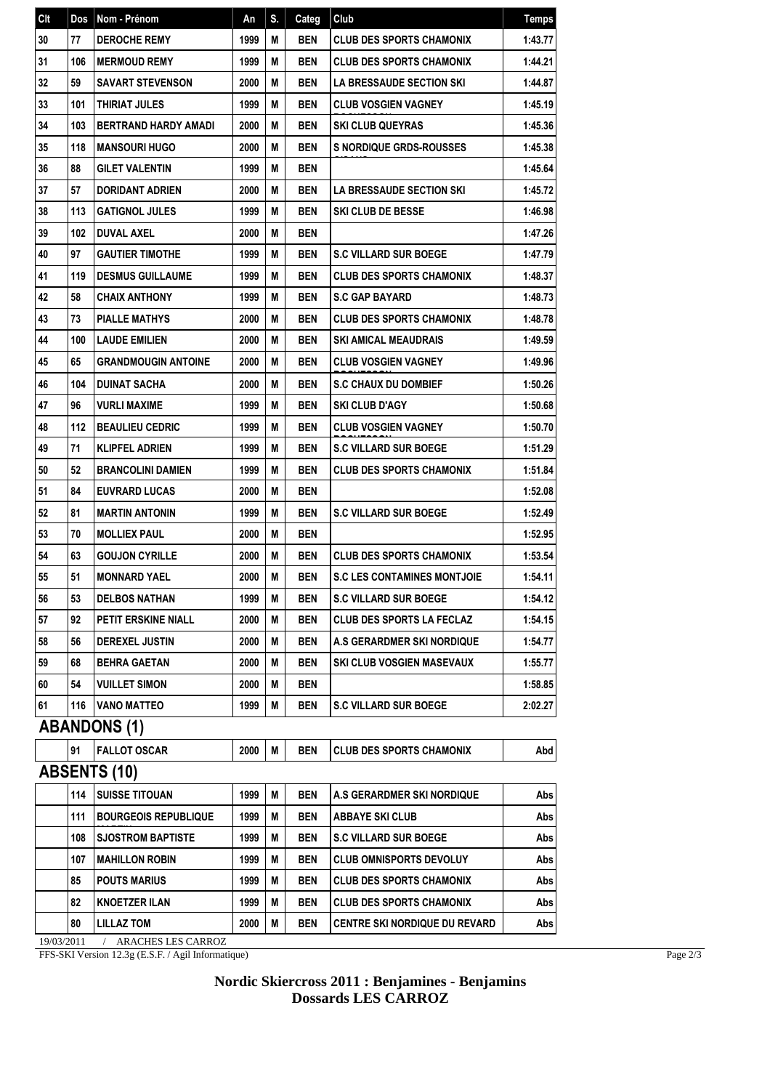| Clt | Dos | Nom - Prénom                | An   | S. | Categ      | Club                               | <b>Temps</b> |
|-----|-----|-----------------------------|------|----|------------|------------------------------------|--------------|
| 30  | 77  | <b>DEROCHE REMY</b>         | 1999 | M  | <b>BEN</b> | <b>CLUB DES SPORTS CHAMONIX</b>    | 1:43.77      |
| 31  | 106 | <b>MERMOUD REMY</b>         | 1999 | М  | <b>BEN</b> | CLUB DES SPORTS CHAMONIX           | 1:44.21      |
| 32  | 59  | <b>SAVART STEVENSON</b>     | 2000 | M  | <b>BEN</b> | LA BRESSAUDE SECTION SKI           | 1:44.87      |
| 33  | 101 | THIRIAT JULES               | 1999 | М  | <b>BEN</b> | CLUB VOSGIEN VAGNEY                | 1:45.19      |
| 34  | 103 | <b>BERTRAND HARDY AMADI</b> | 2000 | М  | <b>BEN</b> | <b>SKI CLUB QUEYRAS</b>            | 1:45.36      |
| 35  | 118 | <b>MANSOURI HUGO</b>        | 2000 | М  | <b>BEN</b> | <b>S NORDIQUE GRDS-ROUSSES</b>     | 1:45.38      |
| 36  | 88  | <b>GILET VALENTIN</b>       | 1999 | M  | <b>BEN</b> |                                    | 1:45.64      |
| 37  | 57  | <b>DORIDANT ADRIEN</b>      | 2000 | M  | <b>BEN</b> | <b>LA BRESSAUDE SECTION SKI</b>    | 1:45.72      |
| 38  | 113 | <b>GATIGNOL JULES</b>       | 1999 | M  | <b>BEN</b> | SKI CLUB DE BESSE                  | 1:46.98      |
| 39  | 102 | DUVAL AXEL                  | 2000 | М  | <b>BEN</b> |                                    | 1:47.26      |
| 40  | 97  | <b>GAUTIER TIMOTHE</b>      | 1999 | М  | <b>BEN</b> | <b>S.C VILLARD SUR BOEGE</b>       | 1:47.79      |
| 41  | 119 | <b>DESMUS GUILLAUME</b>     | 1999 | М  | <b>BEN</b> | CLUB DES SPORTS CHAMONIX           | 1:48.37      |
| 42  | 58  | <b>CHAIX ANTHONY</b>        | 1999 | М  | <b>BEN</b> | <b>S.C GAP BAYARD</b>              | 1:48.73      |
| 43  | 73  | <b>PIALLE MATHYS</b>        | 2000 | M  | <b>BEN</b> | CLUB DES SPORTS CHAMONIX           | 1:48.78      |
| 44  | 100 | <b>LAUDE EMILIEN</b>        | 2000 | М  | <b>BEN</b> | <b>SKI AMICAL MEAUDRAIS</b>        | 1:49.59      |
| 45  | 65  | <b>GRANDMOUGIN ANTOINE</b>  | 2000 | М  | <b>BEN</b> | CLUB VOSGIEN VAGNEY                | 1:49.96      |
| 46  | 104 | <b>DUINAT SACHA</b>         | 2000 | М  | <b>BEN</b> | <b>S.C CHAUX DU DOMBIEF</b>        | 1:50.26      |
| 47  | 96  | <b>VURLI MAXIME</b>         | 1999 | М  | <b>BEN</b> | <b>SKI CLUB D'AGY</b>              | 1:50.68      |
| 48  | 112 | <b>BEAULIEU CEDRIC</b>      | 1999 | M  | <b>BEN</b> | CLUB VOSGIEN VAGNEY                | 1:50.70      |
| 49  | 71  | <b>KLIPFEL ADRIEN</b>       | 1999 | M  | <b>BEN</b> | <b>S.C VILLARD SUR BOEGE</b>       | 1:51.29      |
| 50  | 52  | <b>BRANCOLINI DAMIEN</b>    | 1999 | M  | <b>BEN</b> | CLUB DES SPORTS CHAMONIX           | 1:51.84      |
| 51  | 84  | <b>EUVRARD LUCAS</b>        | 2000 | M  | <b>BEN</b> |                                    | 1:52.08      |
| 52  | 81  | <b>MARTIN ANTONIN</b>       | 1999 | М  | <b>BEN</b> | <b>S.C VILLARD SUR BOEGE</b>       | 1:52.49      |
| 53  | 70  | <b>MOLLIEX PAUL</b>         | 2000 | M  | <b>BEN</b> |                                    | 1:52.95      |
| 54  | 63  | <b>GOUJON CYRILLE</b>       | 2000 | М  | <b>BEN</b> | <b>CLUB DES SPORTS CHAMONIX</b>    | 1:53.54      |
| 55  | 51  | <b>MONNARD YAEL</b>         | 2000 | М  | <b>BEN</b> | <b>S.C LES CONTAMINES MONTJOIE</b> | 1:54.11      |
| 56  | 53  | <b>DELBOS NATHAN</b>        | 1999 | M  | <b>BEN</b> | <b>S.C VILLARD SUR BOEGE</b>       | 1:54.12      |
| 57  | 92  | PETIT ERSKINE NIALL         | 2000 | M  | <b>BEN</b> | CLUB DES SPORTS LA FECLAZ          | 1:54.15      |
| 58  | 56  | <b>DEREXEL JUSTIN</b>       | 2000 | M  | <b>BEN</b> | A.S GERARDMER SKI NORDIQUE         | 1:54.77      |
| 59  | 68  | <b>BEHRA GAETAN</b>         | 2000 | М  | BEN        | SKI CLUB VOSGIEN MASEVAUX          | 1:55.77      |
| 60  | 54  | <b>VUILLET SIMON</b>        | 2000 | M  | <b>BEN</b> |                                    | 1:58.85      |
| 61  | 116 | VANO MATTEO                 | 1999 | М  | BEN        | <b>S.C VILLARD SUR BOEGE</b>       | 2:02.27      |
|     |     | <b>ABANDONS (1)</b>         |      |    |            |                                    |              |
|     | 91  | <b>FALLOT OSCAR</b>         | 2000 | M  | <b>BEN</b> | <b>CLUB DES SPORTS CHAMONIX</b>    | Abd          |
|     |     | <b>ABSENTS (10)</b>         |      |    |            |                                    |              |
|     | 114 | <b>SUISSE TITOUAN</b>       | 1999 | M  | <b>BEN</b> | A.S GERARDMER SKI NORDIQUE         | Abs          |
|     | 111 | <b>BOURGEOIS REPUBLIQUE</b> | 1999 | Μ  | <b>BEN</b> | <b>ABBAYE SKI CLUB</b>             | Abs          |
|     | 108 | <b>SJOSTROM BAPTISTE</b>    | 1999 | Μ  | <b>BEN</b> | <b>S.C VILLARD SUR BOEGE</b>       | Abs          |
|     | 107 | <b>MAHILLON ROBIN</b>       | 1999 | Μ  | <b>BEN</b> | <b>CLUB OMNISPORTS DEVOLUY</b>     | Abs          |
|     | 85  | <b>POUTS MARIUS</b>         | 1999 | M  | <b>BEN</b> | CLUB DES SPORTS CHAMONIX           | Abs          |
|     | 82  | <b>KNOETZER ILAN</b>        | 1999 | M  | <b>BEN</b> | CLUB DES SPORTS CHAMONIX           | Abs          |
|     | 80  | <b>LILLAZ TOM</b>           | 2000 | Μ  | BEN        | CENTRE SKI NORDIQUE DU REVARD      | Abs          |
|     |     |                             |      |    |            |                                    |              |

19/03/2011 / ARACHES LES CARROZ

FFS-SKI Version 12.3g (E.S.F. / Agil Informatique)

## **Nordic Skiercross 2011 : Benjamines - Benjamins Dossards LES CARROZ**

Page 2/3